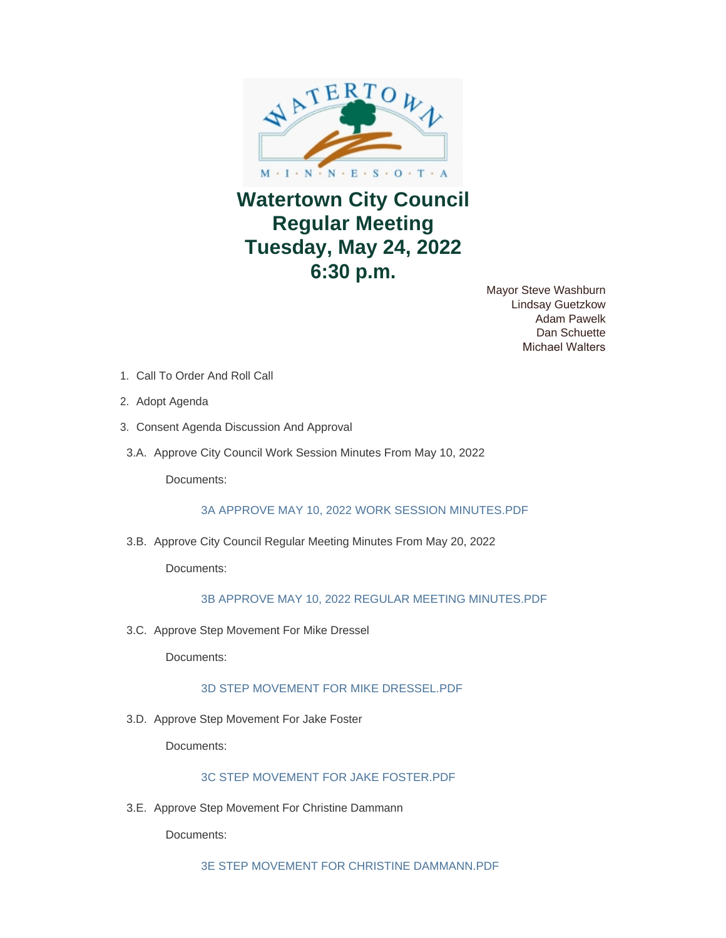

# **Watertown City Council Regular Meeting Tuesday, May 24, 2022 6:30 p.m.**

Mayor Steve Washburn Lindsay Guetzkow Adam Pawelk Dan Schuette Michael Walters

- 1. Call To Order And Roll Call
- 2. Adopt Agenda
- 3. Consent Agenda Discussion And Approval
- 3.A. Approve City Council Work Session Minutes From May 10, 2022

Documents:

[3A APPROVE MAY 10, 2022 WORK SESSION MINUTES.PDF](https://www.watertownmn.gov/AgendaCenter/ViewFile/Item/2323?fileID=1823)

3.B. Approve City Council Regular Meeting Minutes From May 20, 2022

Documents:

## [3B APPROVE MAY 10, 2022 REGULAR MEETING MINUTES.PDF](https://www.watertownmn.gov/AgendaCenter/ViewFile/Item/2324?fileID=1824)

3.C. Approve Step Movement For Mike Dressel

Documents:

## [3D STEP MOVEMENT FOR MIKE DRESSEL.PDF](https://www.watertownmn.gov/AgendaCenter/ViewFile/Item/2326?fileID=1826)

3.D. Approve Step Movement For Jake Foster

Documents:

## [3C STEP MOVEMENT FOR JAKE FOSTER.PDF](https://www.watertownmn.gov/AgendaCenter/ViewFile/Item/2325?fileID=1825)

3.E. Approve Step Movement For Christine Dammann

Documents:

[3E STEP MOVEMENT FOR CHRISTINE DAMMANN.PDF](https://www.watertownmn.gov/AgendaCenter/ViewFile/Item/2327?fileID=1827)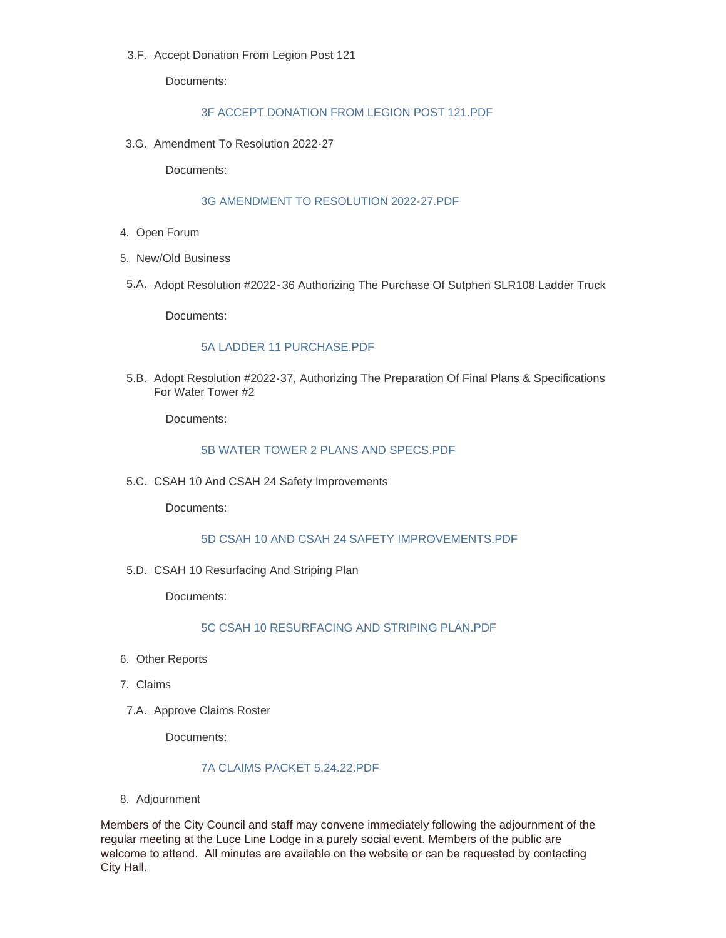3.F. Accept Donation From Legion Post 121

Documents:

## [3F ACCEPT DONATION FROM LEGION POST 121.PDF](https://www.watertownmn.gov/AgendaCenter/ViewFile/Item/2344?fileID=1838)

3.G. Amendment To Resolution 2022-27

Documents:

#### [3G AMENDMENT TO RESOLUTION 2022-27.PDF](https://www.watertownmn.gov/AgendaCenter/ViewFile/Item/2345?fileID=1839)

- 4. Open Forum
- 5. New/Old Business
- 5.A. Adopt Resolution #2022-36 Authorizing The Purchase Of Sutphen SLR108 Ladder Truck

Documents:

#### [5A LADDER 11 PURCHASE.PDF](https://www.watertownmn.gov/AgendaCenter/ViewFile/Item/2328?fileID=1828)

5.B. Adopt Resolution #2022-37, Authorizing The Preparation Of Final Plans & Specifications For Water Tower #2

Documents:

## [5B WATER TOWER 2 PLANS AND SPECS.PDF](https://www.watertownmn.gov/AgendaCenter/ViewFile/Item/2329?fileID=1829)

5.C. CSAH 10 And CSAH 24 Safety Improvements

Documents:

## [5D CSAH 10 AND CSAH 24 SAFETY IMPROVEMENTS.PDF](https://www.watertownmn.gov/AgendaCenter/ViewFile/Item/2332?fileID=1832)

5.D. CSAH 10 Resurfacing And Striping Plan

Documents:

[5C CSAH 10 RESURFACING AND STRIPING PLAN.PDF](https://www.watertownmn.gov/AgendaCenter/ViewFile/Item/2331?fileID=1831)

- 6. Other Reports
- 7. Claims
- 7.A. Approve Claims Roster

Documents:

#### [7A CLAIMS PACKET 5.24.22.PDF](https://www.watertownmn.gov/AgendaCenter/ViewFile/Item/2330?fileID=1830)

8. Adjournment

Members of the City Council and staff may convene immediately following the adjournment of the regular meeting at the Luce Line Lodge in a purely social event. Members of the public are welcome to attend. All minutes are available on the website or can be requested by contacting City Hall.